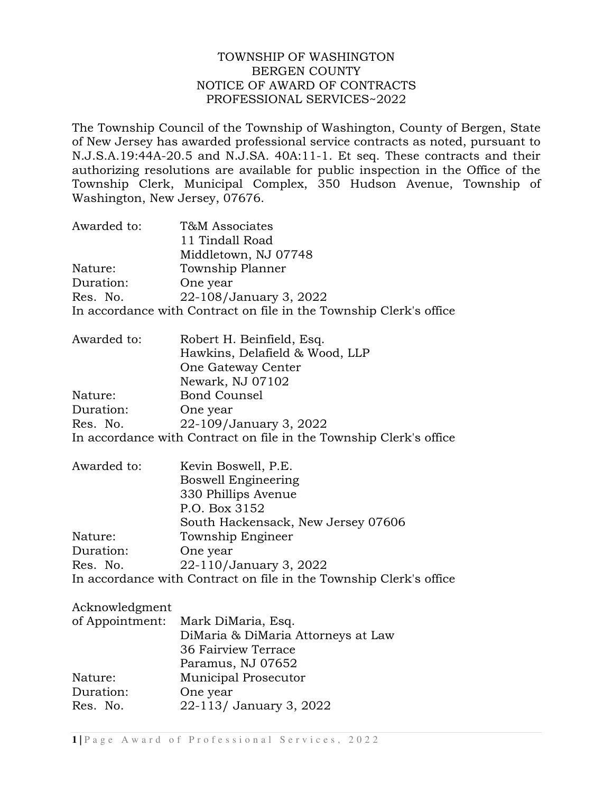## TOWNSHIP OF WASHINGTON BERGEN COUNTY NOTICE OF AWARD OF CONTRACTS PROFESSIONAL SERVICES~2022

The Township Council of the Township of Washington, County of Bergen, State of New Jersey has awarded professional service contracts as noted, pursuant to N.J.S.A.19:44A-20.5 and N.J.SA. 40A:11-1. Et seq. These contracts and their authorizing resolutions are available for public inspection in the Office of the Township Clerk, Municipal Complex, 350 Hudson Avenue, Township of Washington, New Jersey, 07676.

| Awarded to: | T&M Associates                                                     |
|-------------|--------------------------------------------------------------------|
|             | 11 Tindall Road                                                    |
|             | Middletown, NJ 07748                                               |
| Nature:     | Township Planner                                                   |
| Duration:   | One year                                                           |
| Res. No.    | 22-108/January 3, 2022                                             |
|             | In accordance with Contract on file in the Township Clerk's office |

| Awarded to: | Robert H. Beinfield, Esq.                                          |
|-------------|--------------------------------------------------------------------|
|             | Hawkins, Delafield & Wood, LLP                                     |
|             | One Gateway Center                                                 |
|             | Newark, NJ 07102                                                   |
| Nature:     | <b>Bond Counsel</b>                                                |
| Duration:   | One year                                                           |
| Res. No.    | 22-109/January 3, 2022                                             |
|             | In accordance with Contract on file in the Township Clerk's office |

| Awarded to: | Kevin Boswell, P.E.                                                |
|-------------|--------------------------------------------------------------------|
|             | <b>Boswell Engineering</b>                                         |
|             | 330 Phillips Avenue                                                |
|             | P.O. Box 3152                                                      |
|             | South Hackensack, New Jersey 07606                                 |
| Nature:     | Township Engineer                                                  |
| Duration:   | One year                                                           |
| Res. No.    | 22-110/January 3, 2022                                             |
|             | In accordance with Contract on file in the Township Clerk's office |

## Acknowledgment

|           | of Appointment: Mark DiMaria, Esq. |
|-----------|------------------------------------|
|           | DiMaria & DiMaria Attorneys at Law |
|           | 36 Fairview Terrace                |
|           | Paramus, NJ 07652                  |
| Nature:   | <b>Municipal Prosecutor</b>        |
| Duration: | One year                           |
| Res. No.  | 22-113/ January 3, 2022            |